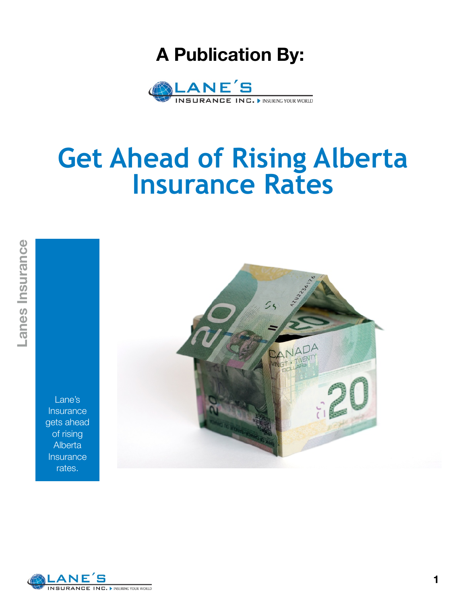### **A Publication By:**



### **Get Ahead of Rising Alberta Insurance Rates**

Lane's Insurance gets ahead of rising **Alberta Insurance** rates.



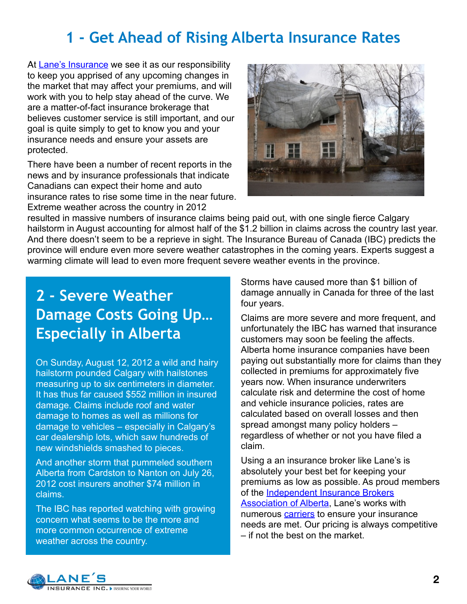### **1 - Get Ahead of Rising Alberta Insurance Rates**

At **Lane's Insurance** we see it as our responsibility to keep you apprised of any upcoming changes in the market that may affect your premiums, and will work with you to help stay ahead of the curve. We are a matter-of-fact insurance brokerage that believes customer service is still important, and our goal is quite simply to get to know you and your insurance needs and ensure your assets are protected.

There have been a number of recent reports in the news and by insurance professionals that indicate Canadians can expect their home and auto insurance rates to rise some time in the near future. Extreme weather across the country in 2012



resulted in massive numbers of insurance claims being paid out, with one single fierce Calgary hailstorm in August accounting for almost half of the \$1.2 billion in claims across the country last year. And there doesn't seem to be a reprieve in sight. The Insurance Bureau of Canada (IBC) predicts the province will endure even more severe weather catastrophes in the coming years. Experts suggest a warming climate will lead to even more frequent severe weather events in the province.

### **2 - Severe Weather Damage Costs Going Up… Especially in Alberta**

On Sunday, August 12, 2012 a wild and hairy hailstorm pounded Calgary with hailstones measuring up to six centimeters in diameter. It has thus far caused \$552 million in insured damage. Claims include roof and water damage to homes as well as millions for damage to vehicles – especially in Calgary's car dealership lots, which saw hundreds of new windshields smashed to pieces.

And another storm that pummeled southern Alberta from Cardston to Nanton on July 26, 2012 cost insurers another \$74 million in claims.

The IBC has reported watching with growing concern what seems to be the more and more common occurrence of extreme weather across the country.

Storms have caused more than \$1 billion of damage annually in Canada for three of the last four years.

Claims are more severe and more frequent, and unfortunately the IBC has warned that insurance customers may soon be feeling the affects. Alberta home insurance companies have been paying out substantially more for claims than they collected in premiums for approximately five years now. When insurance underwriters calculate risk and determine the cost of home and vehicle insurance policies, rates are calculated based on overall losses and then spread amongst many policy holders – regardless of whether or not you have filed a claim.

Using a an insurance broker like Lane's is absolutely your best bet for keeping your premiums as low as possible. As proud members of the [Independent Insurance Brokers](http://livepage.apple.com/)  [Association of Alberta,](http://livepage.apple.com/) Lane's works with numerous [carriers](http://www.lanesinsurance.com/our-carriers.html) to ensure your insurance needs are met. Our pricing is always competitive – if not the best on the market.

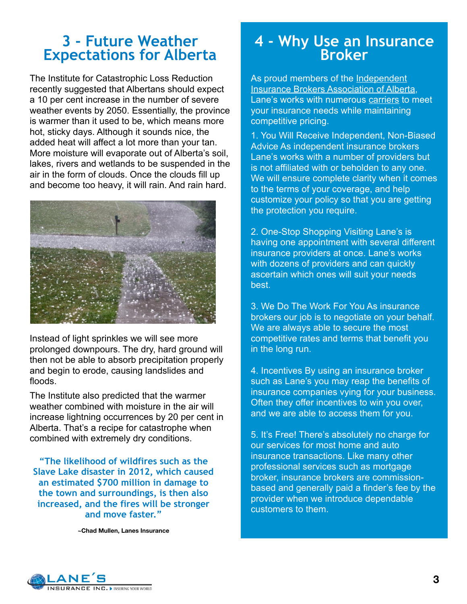#### **3 - Future Weather Expectations for Alberta**

The Institute for Catastrophic Loss Reduction recently suggested that Albertans should expect a 10 per cent increase in the number of severe weather events by 2050. Essentially, the province is warmer than it used to be, which means more hot, sticky days. Although it sounds nice, the added heat will affect a lot more than your tan. More moisture will evaporate out of Alberta's soil, lakes, rivers and wetlands to be suspended in the air in the form of clouds. Once the clouds fill up and become too heavy, it will rain. And rain hard.



Instead of light sprinkles we will see more prolonged downpours. The dry, hard ground will then not be able to absorb precipitation properly and begin to erode, causing landslides and floods.

The Institute also predicted that the warmer weather combined with moisture in the air will increase lightning occurrences by 20 per cent in Alberta. That's a recipe for catastrophe when combined with extremely dry conditions.

**"The likelihood of wildfires such as the Slave Lake disaster in 2012, which caused an estimated \$700 million in damage to the town and surroundings, is then also increased, and the fires will be stronger and move faster."**

**~Chad Mullen, Lanes Insurance**

## **4 - Why Use an Insurance Broker**

As proud members of the Independent [Insurance Brokers Association of Alberta,](http://www.iibaa.com/) Lane's works with numerous [carriers](http://www.lanesinsurance.com/our-carriers.html) to meet your insurance needs while maintaining competitive pricing.

1. You Will Receive Independent, Non-Biased Advice As independent insurance brokers Lane's works with a number of providers but is not affiliated with or beholden to any one. We will ensure complete clarity when it comes to the terms of your coverage, and help customize your policy so that you are getting the protection you require.

2. One-Stop Shopping Visiting Lane's is having one appointment with several different insurance providers at once. Lane's works with dozens of providers and can quickly ascertain which ones will suit your needs best.

3. We Do The Work For You As insurance brokers our job is to negotiate on your behalf. We are always able to secure the most competitive rates and terms that benefit you in the long run.

4. Incentives By using an insurance broker such as Lane's you may reap the benefits of insurance companies vying for your business. Often they offer incentives to win you over, and we are able to access them for you.

5. It's Free! There's absolutely no charge for our services for most home and auto insurance transactions. Like many other professional services such as mortgage broker, insurance brokers are commissionbased and generally paid a finder's fee by the provider when we introduce dependable customers to them.

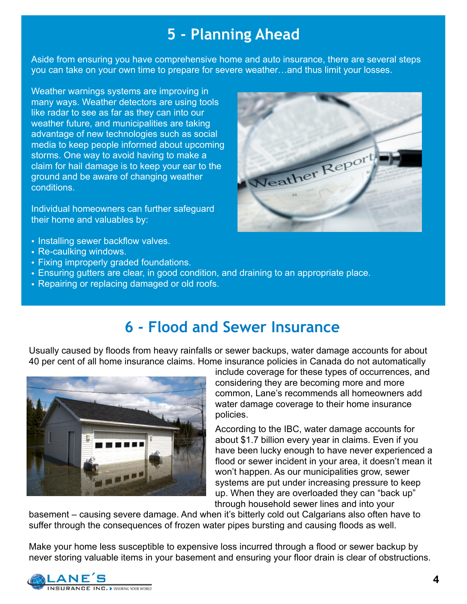#### **5 - Planning Ahead**

Aside from ensuring you have comprehensive home and auto insurance, there are several steps you can take on your own time to prepare for severe weather…and thus limit your losses.

Weather warnings systems are improving in many ways. Weather detectors are using tools like radar to see as far as they can into our weather future, and municipalities are taking advantage of new technologies such as social media to keep people informed about upcoming storms. One way to avoid having to make a claim for hail damage is to keep your ear to the ground and be aware of changing weather conditions.

Individual homeowners can further safeguard their home and valuables by:

- Installing sewer backflow valves.
- Re-caulking windows.
- Fixing improperly graded foundations.
- Ensuring gutters are clear, in good condition, and draining to an appropriate place.
- Repairing or replacing damaged or old roofs.



### **6 - Flood and Sewer Insurance**

Usually caused by floods from heavy rainfalls or sewer backups, water damage accounts for about 40 per cent of all home insurance claims. Home insurance policies in Canada do not automatically



include coverage for these types of occurrences, and considering they are becoming more and more common, Lane's recommends all homeowners add water damage coverage to their home insurance policies.

According to the IBC, water damage accounts for about \$1.7 billion every year in claims. Even if you have been lucky enough to have never experienced a flood or sewer incident in your area, it doesn't mean it won't happen. As our municipalities grow, sewer systems are put under increasing pressure to keep up. When they are overloaded they can "back up" through household sewer lines and into your

basement – causing severe damage. And when it's bitterly cold out Calgarians also often have to suffer through the consequences of frozen water pipes bursting and causing floods as well.

Make your home less susceptible to expensive loss incurred through a flood or sewer backup by never storing valuable items in your basement and ensuring your floor drain is clear of obstructions.

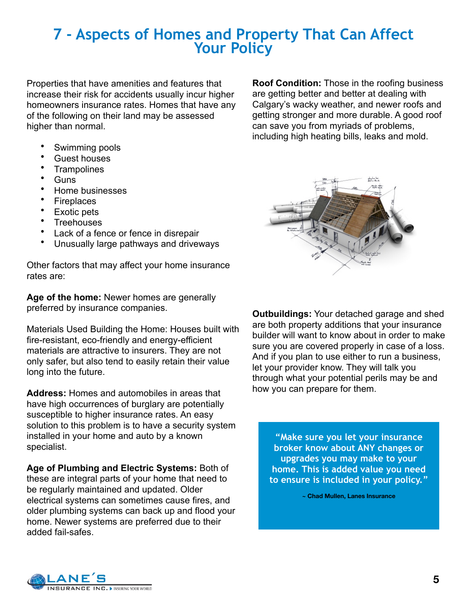# **7 - Aspects of Homes and Property That Can Affect Your Policy**

Properties that have amenities and features that increase their risk for accidents usually incur higher homeowners insurance rates. Homes that have any of the following on their land may be assessed higher than normal.

- Swimming pools
- Guest houses
- **Trampolines**
- Guns
- Home businesses
- Fireplaces
- Exotic pets
- **Treehouses**
- Lack of a fence or fence in disrepair
- Unusually large pathways and driveways

Other factors that may affect your home insurance rates are:

**Age of the home:** Newer homes are generally preferred by insurance companies.

Materials Used Building the Home: Houses built with fire-resistant, eco-friendly and energy-efficient materials are attractive to insurers. They are not only safer, but also tend to easily retain their value long into the future.

**Address:** Homes and automobiles in areas that have high occurrences of burglary are potentially susceptible to higher insurance rates. An easy solution to this problem is to have a security system installed in your home and auto by a known specialist.

**Age of Plumbing and Electric Systems:** Both of these are integral parts of your home that need to be regularly maintained and updated. Older electrical systems can sometimes cause fires, and older plumbing systems can back up and flood your home. Newer systems are preferred due to their added fail-safes.

**Roof Condition:** Those in the roofing business are getting better and better at dealing with Calgary's wacky weather, and newer roofs and getting stronger and more durable. A good roof can save you from myriads of problems, including high heating bills, leaks and mold.



**Outbuildings:** Your detached garage and shed are both property additions that your insurance builder will want to know about in order to make sure you are covered properly in case of a loss. And if you plan to use either to run a business, let your provider know. They will talk you through what your potential perils may be and how you can prepare for them.

**"Make sure you let your insurance broker know about ANY changes or upgrades you may make to your home. This is added value you need to ensure is included in your policy."**

**~ Chad Mullen, Lanes Insurance**